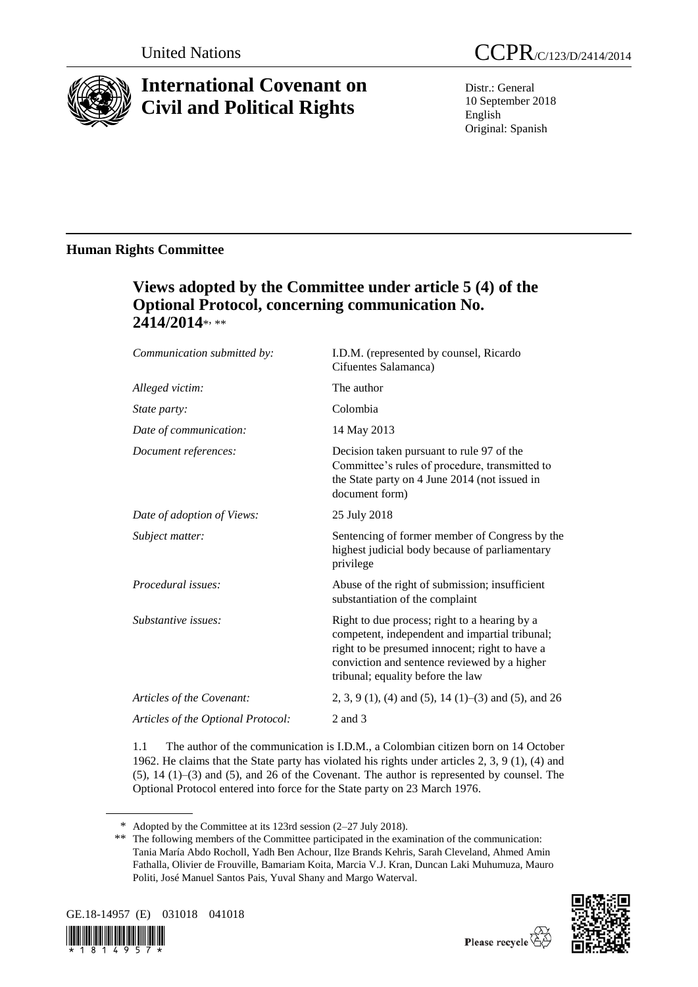

# **International Covenant on Civil and Political Rights**

Distr.: General 10 September 2018 English Original: Spanish

# **Human Rights Committee**

# **Views adopted by the Committee under article 5 (4) of the Optional Protocol, concerning communication No.**  2414/2014\*<sub>\*</sub>\*\*

| Communication submitted by:        | I.D.M. (represented by counsel, Ricardo<br>Cifuentes Salamanca)                                                                                                                                                                        |
|------------------------------------|----------------------------------------------------------------------------------------------------------------------------------------------------------------------------------------------------------------------------------------|
| Alleged victim:                    | The author                                                                                                                                                                                                                             |
| State party:                       | Colombia                                                                                                                                                                                                                               |
| Date of communication:             | 14 May 2013                                                                                                                                                                                                                            |
| Document references:               | Decision taken pursuant to rule 97 of the<br>Committee's rules of procedure, transmitted to<br>the State party on 4 June 2014 (not issued in<br>document form)                                                                         |
| Date of adoption of Views:         | 25 July 2018                                                                                                                                                                                                                           |
| Subject matter:                    | Sentencing of former member of Congress by the<br>highest judicial body because of parliamentary<br>privilege                                                                                                                          |
| Procedural issues:                 | Abuse of the right of submission; insufficient<br>substantiation of the complaint                                                                                                                                                      |
| Substantive issues:                | Right to due process; right to a hearing by a<br>competent, independent and impartial tribunal;<br>right to be presumed innocent; right to have a<br>conviction and sentence reviewed by a higher<br>tribunal; equality before the law |
| Articles of the Covenant:          | 2, 3, 9 (1), (4) and (5), 14 (1)–(3) and (5), and 26                                                                                                                                                                                   |
| Articles of the Optional Protocol: | 2 and 3                                                                                                                                                                                                                                |

1.1 The author of the communication is I.D.M., a Colombian citizen born on 14 October 1962. He claims that the State party has violated his rights under articles 2, 3, 9 (1), (4) and (5), 14 (1)–(3) and (5), and 26 of the Covenant. The author is represented by counsel. The Optional Protocol entered into force for the State party on 23 March 1976.

<sup>\*\*</sup> The following members of the Committee participated in the examination of the communication: Tania María Abdo Rocholl, Yadh Ben Achour, Ilze Brands Kehris, Sarah Cleveland, Ahmed Amin Fathalla, Olivier de Frouville, Bamariam Koita, Marcia V.J. Kran, Duncan Laki Muhumuza, Mauro Politi, José Manuel Santos Pais, Yuval Shany and Margo Waterval.





<sup>\*</sup> Adopted by the Committee at its 123rd session (2–27 July 2018).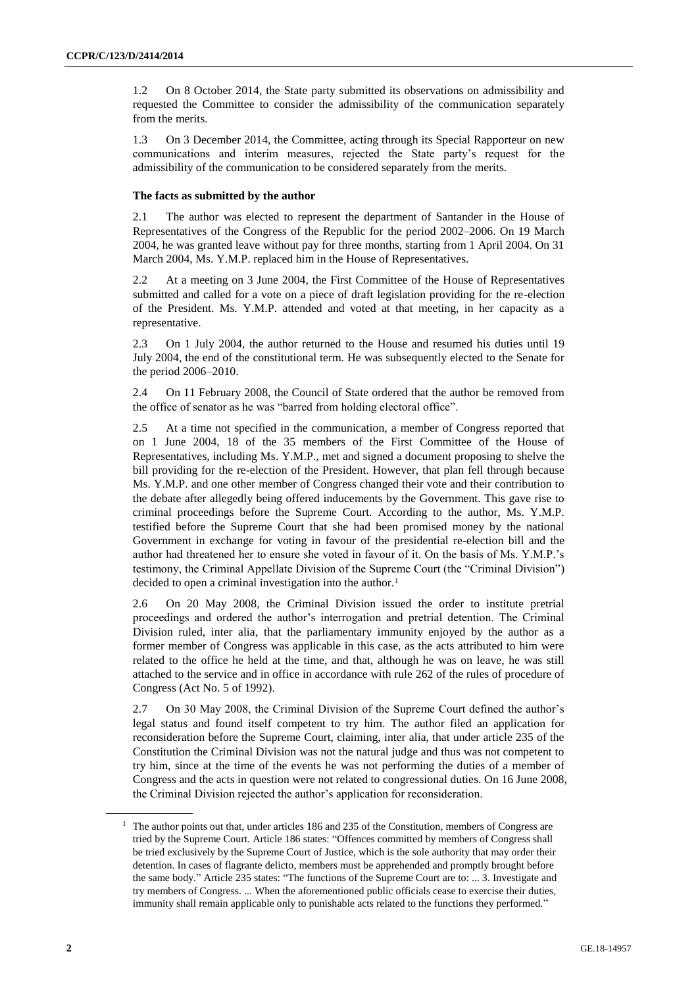1.2 On 8 October 2014, the State party submitted its observations on admissibility and requested the Committee to consider the admissibility of the communication separately from the merits.

1.3 On 3 December 2014, the Committee, acting through its Special Rapporteur on new communications and interim measures, rejected the State party's request for the admissibility of the communication to be considered separately from the merits.

# **The facts as submitted by the author**

2.1 The author was elected to represent the department of Santander in the House of Representatives of the Congress of the Republic for the period 2002–2006. On 19 March 2004, he was granted leave without pay for three months, starting from 1 April 2004. On 31 March 2004, Ms. Y.M.P. replaced him in the House of Representatives.

2.2 At a meeting on 3 June 2004, the First Committee of the House of Representatives submitted and called for a vote on a piece of draft legislation providing for the re-election of the President. Ms. Y.M.P. attended and voted at that meeting, in her capacity as a representative.

2.3 On 1 July 2004, the author returned to the House and resumed his duties until 19 July 2004, the end of the constitutional term. He was subsequently elected to the Senate for the period 2006–2010.

2.4 On 11 February 2008, the Council of State ordered that the author be removed from the office of senator as he was "barred from holding electoral office".

2.5 At a time not specified in the communication, a member of Congress reported that on 1 June 2004, 18 of the 35 members of the First Committee of the House of Representatives, including Ms. Y.M.P., met and signed a document proposing to shelve the bill providing for the re-election of the President. However, that plan fell through because Ms. Y.M.P. and one other member of Congress changed their vote and their contribution to the debate after allegedly being offered inducements by the Government. This gave rise to criminal proceedings before the Supreme Court. According to the author, Ms. Y.M.P. testified before the Supreme Court that she had been promised money by the national Government in exchange for voting in favour of the presidential re-election bill and the author had threatened her to ensure she voted in favour of it. On the basis of Ms. Y.M.P.'s testimony, the Criminal Appellate Division of the Supreme Court (the "Criminal Division") decided to open a criminal investigation into the author.<sup>1</sup>

2.6 On 20 May 2008, the Criminal Division issued the order to institute pretrial proceedings and ordered the author's interrogation and pretrial detention. The Criminal Division ruled, inter alia, that the parliamentary immunity enjoyed by the author as a former member of Congress was applicable in this case, as the acts attributed to him were related to the office he held at the time, and that, although he was on leave, he was still attached to the service and in office in accordance with rule 262 of the rules of procedure of Congress (Act No. 5 of 1992).

2.7 On 30 May 2008, the Criminal Division of the Supreme Court defined the author's legal status and found itself competent to try him. The author filed an application for reconsideration before the Supreme Court, claiming, inter alia, that under article 235 of the Constitution the Criminal Division was not the natural judge and thus was not competent to try him, since at the time of the events he was not performing the duties of a member of Congress and the acts in question were not related to congressional duties. On 16 June 2008, the Criminal Division rejected the author's application for reconsideration.

<sup>&</sup>lt;sup>1</sup> The author points out that, under articles 186 and 235 of the Constitution, members of Congress are tried by the Supreme Court. Article 186 states: "Offences committed by members of Congress shall be tried exclusively by the Supreme Court of Justice, which is the sole authority that may order their detention. In cases of flagrante delicto, members must be apprehended and promptly brought before the same body." Article 235 states: "The functions of the Supreme Court are to: ... 3. Investigate and try members of Congress. ... When the aforementioned public officials cease to exercise their duties, immunity shall remain applicable only to punishable acts related to the functions they performed."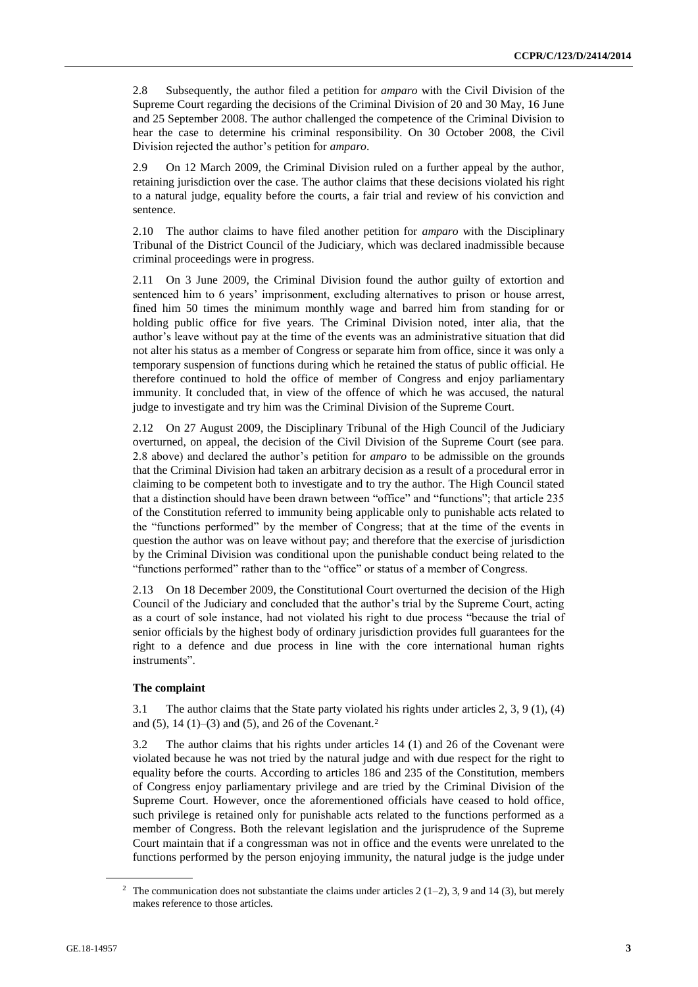2.8 Subsequently, the author filed a petition for *amparo* with the Civil Division of the Supreme Court regarding the decisions of the Criminal Division of 20 and 30 May, 16 June and 25 September 2008. The author challenged the competence of the Criminal Division to hear the case to determine his criminal responsibility. On 30 October 2008, the Civil Division rejected the author's petition for *amparo*.

2.9 On 12 March 2009, the Criminal Division ruled on a further appeal by the author, retaining jurisdiction over the case. The author claims that these decisions violated his right to a natural judge, equality before the courts, a fair trial and review of his conviction and sentence.

2.10 The author claims to have filed another petition for *amparo* with the Disciplinary Tribunal of the District Council of the Judiciary, which was declared inadmissible because criminal proceedings were in progress.

2.11 On 3 June 2009, the Criminal Division found the author guilty of extortion and sentenced him to 6 years' imprisonment, excluding alternatives to prison or house arrest, fined him 50 times the minimum monthly wage and barred him from standing for or holding public office for five years. The Criminal Division noted, inter alia, that the author's leave without pay at the time of the events was an administrative situation that did not alter his status as a member of Congress or separate him from office, since it was only a temporary suspension of functions during which he retained the status of public official. He therefore continued to hold the office of member of Congress and enjoy parliamentary immunity. It concluded that, in view of the offence of which he was accused, the natural judge to investigate and try him was the Criminal Division of the Supreme Court.

2.12 On 27 August 2009, the Disciplinary Tribunal of the High Council of the Judiciary overturned, on appeal, the decision of the Civil Division of the Supreme Court (see para. 2.8 above) and declared the author's petition for *amparo* to be admissible on the grounds that the Criminal Division had taken an arbitrary decision as a result of a procedural error in claiming to be competent both to investigate and to try the author. The High Council stated that a distinction should have been drawn between "office" and "functions"; that article 235 of the Constitution referred to immunity being applicable only to punishable acts related to the "functions performed" by the member of Congress; that at the time of the events in question the author was on leave without pay; and therefore that the exercise of jurisdiction by the Criminal Division was conditional upon the punishable conduct being related to the "functions performed" rather than to the "office" or status of a member of Congress.

2.13 On 18 December 2009, the Constitutional Court overturned the decision of the High Council of the Judiciary and concluded that the author's trial by the Supreme Court, acting as a court of sole instance, had not violated his right to due process "because the trial of senior officials by the highest body of ordinary jurisdiction provides full guarantees for the right to a defence and due process in line with the core international human rights instruments".

# **The complaint**

3.1 The author claims that the State party violated his rights under articles 2, 3, 9 (1), (4) and (5),  $14(1)$ –(3) and (5), and 26 of the Covenant.<sup>2</sup>

3.2 The author claims that his rights under articles 14 (1) and 26 of the Covenant were violated because he was not tried by the natural judge and with due respect for the right to equality before the courts. According to articles 186 and 235 of the Constitution, members of Congress enjoy parliamentary privilege and are tried by the Criminal Division of the Supreme Court. However, once the aforementioned officials have ceased to hold office, such privilege is retained only for punishable acts related to the functions performed as a member of Congress. Both the relevant legislation and the jurisprudence of the Supreme Court maintain that if a congressman was not in office and the events were unrelated to the functions performed by the person enjoying immunity, the natural judge is the judge under

<sup>&</sup>lt;sup>2</sup> The communication does not substantiate the claims under articles  $2(1-2)$ , 3, 9 and 14 (3), but merely makes reference to those articles.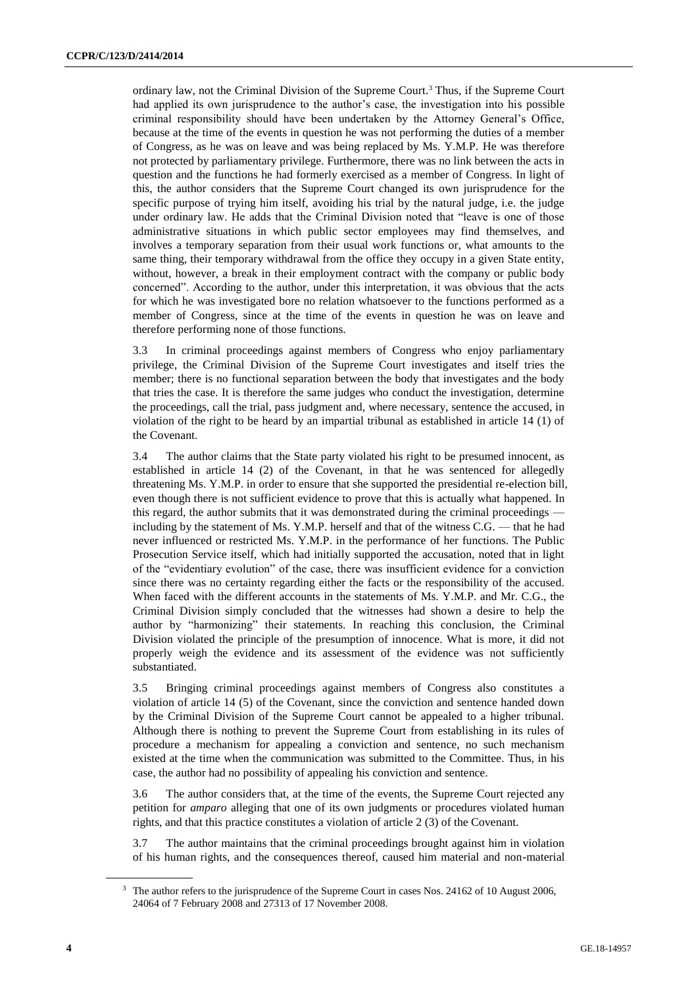ordinary law, not the Criminal Division of the Supreme Court.<sup>3</sup> Thus, if the Supreme Court had applied its own jurisprudence to the author's case, the investigation into his possible criminal responsibility should have been undertaken by the Attorney General's Office, because at the time of the events in question he was not performing the duties of a member of Congress, as he was on leave and was being replaced by Ms. Y.M.P. He was therefore not protected by parliamentary privilege. Furthermore, there was no link between the acts in question and the functions he had formerly exercised as a member of Congress. In light of this, the author considers that the Supreme Court changed its own jurisprudence for the specific purpose of trying him itself, avoiding his trial by the natural judge, i.e. the judge under ordinary law. He adds that the Criminal Division noted that "leave is one of those administrative situations in which public sector employees may find themselves, and involves a temporary separation from their usual work functions or, what amounts to the same thing, their temporary withdrawal from the office they occupy in a given State entity, without, however, a break in their employment contract with the company or public body concerned". According to the author, under this interpretation, it was obvious that the acts for which he was investigated bore no relation whatsoever to the functions performed as a member of Congress, since at the time of the events in question he was on leave and therefore performing none of those functions.

3.3 In criminal proceedings against members of Congress who enjoy parliamentary privilege, the Criminal Division of the Supreme Court investigates and itself tries the member; there is no functional separation between the body that investigates and the body that tries the case. It is therefore the same judges who conduct the investigation, determine the proceedings, call the trial, pass judgment and, where necessary, sentence the accused, in violation of the right to be heard by an impartial tribunal as established in article 14 (1) of the Covenant.

3.4 The author claims that the State party violated his right to be presumed innocent, as established in article 14 (2) of the Covenant, in that he was sentenced for allegedly threatening Ms. Y.M.P. in order to ensure that she supported the presidential re-election bill, even though there is not sufficient evidence to prove that this is actually what happened. In this regard, the author submits that it was demonstrated during the criminal proceedings – including by the statement of Ms. Y.M.P. herself and that of the witness C.G. — that he had never influenced or restricted Ms. Y.M.P. in the performance of her functions. The Public Prosecution Service itself, which had initially supported the accusation, noted that in light of the "evidentiary evolution" of the case, there was insufficient evidence for a conviction since there was no certainty regarding either the facts or the responsibility of the accused. When faced with the different accounts in the statements of Ms. Y.M.P. and Mr. C.G., the Criminal Division simply concluded that the witnesses had shown a desire to help the author by "harmonizing" their statements. In reaching this conclusion, the Criminal Division violated the principle of the presumption of innocence. What is more, it did not properly weigh the evidence and its assessment of the evidence was not sufficiently substantiated.

3.5 Bringing criminal proceedings against members of Congress also constitutes a violation of article 14 (5) of the Covenant, since the conviction and sentence handed down by the Criminal Division of the Supreme Court cannot be appealed to a higher tribunal. Although there is nothing to prevent the Supreme Court from establishing in its rules of procedure a mechanism for appealing a conviction and sentence, no such mechanism existed at the time when the communication was submitted to the Committee. Thus, in his case, the author had no possibility of appealing his conviction and sentence.

3.6 The author considers that, at the time of the events, the Supreme Court rejected any petition for *amparo* alleging that one of its own judgments or procedures violated human rights, and that this practice constitutes a violation of article 2 (3) of the Covenant.

3.7 The author maintains that the criminal proceedings brought against him in violation of his human rights, and the consequences thereof, caused him material and non-material

<sup>&</sup>lt;sup>3</sup> The author refers to the jurisprudence of the Supreme Court in cases Nos. 24162 of 10 August 2006, 24064 of 7 February 2008 and 27313 of 17 November 2008.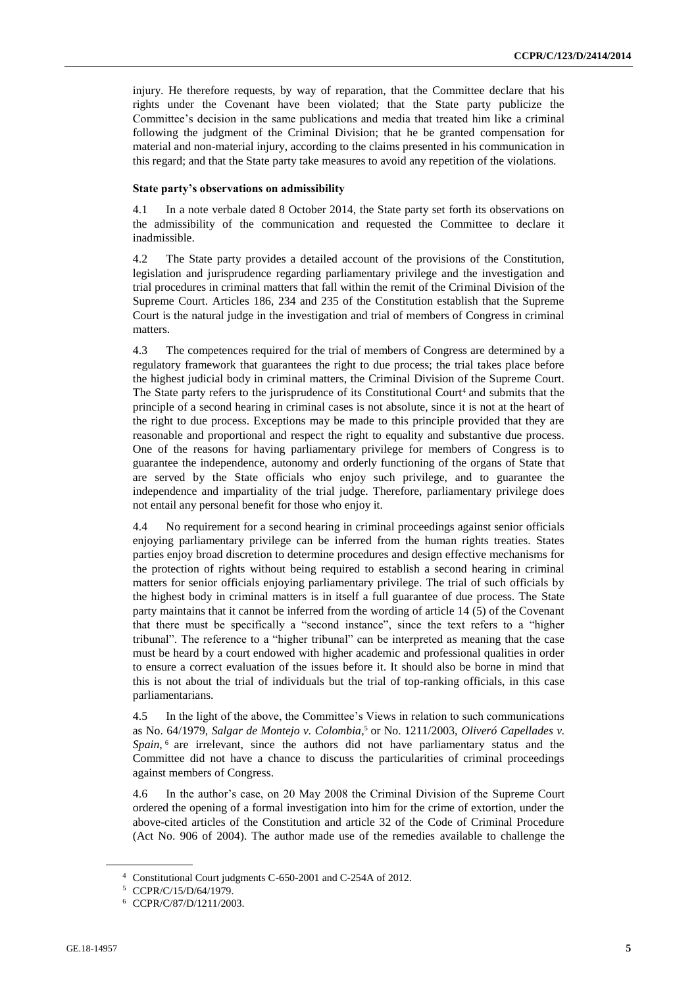injury. He therefore requests, by way of reparation, that the Committee declare that his rights under the Covenant have been violated; that the State party publicize the Committee's decision in the same publications and media that treated him like a criminal following the judgment of the Criminal Division; that he be granted compensation for material and non-material injury, according to the claims presented in his communication in this regard; and that the State party take measures to avoid any repetition of the violations.

### **State party's observations on admissibility**

4.1 In a note verbale dated 8 October 2014, the State party set forth its observations on the admissibility of the communication and requested the Committee to declare it inadmissible.

4.2 The State party provides a detailed account of the provisions of the Constitution, legislation and jurisprudence regarding parliamentary privilege and the investigation and trial procedures in criminal matters that fall within the remit of the Criminal Division of the Supreme Court. Articles 186, 234 and 235 of the Constitution establish that the Supreme Court is the natural judge in the investigation and trial of members of Congress in criminal matters.

4.3 The competences required for the trial of members of Congress are determined by a regulatory framework that guarantees the right to due process; the trial takes place before the highest judicial body in criminal matters, the Criminal Division of the Supreme Court. The State party refers to the jurisprudence of its Constitutional Court<sup>4</sup> and submits that the principle of a second hearing in criminal cases is not absolute, since it is not at the heart of the right to due process. Exceptions may be made to this principle provided that they are reasonable and proportional and respect the right to equality and substantive due process. One of the reasons for having parliamentary privilege for members of Congress is to guarantee the independence, autonomy and orderly functioning of the organs of State that are served by the State officials who enjoy such privilege, and to guarantee the independence and impartiality of the trial judge. Therefore, parliamentary privilege does not entail any personal benefit for those who enjoy it.

4.4 No requirement for a second hearing in criminal proceedings against senior officials enjoying parliamentary privilege can be inferred from the human rights treaties. States parties enjoy broad discretion to determine procedures and design effective mechanisms for the protection of rights without being required to establish a second hearing in criminal matters for senior officials enjoying parliamentary privilege. The trial of such officials by the highest body in criminal matters is in itself a full guarantee of due process. The State party maintains that it cannot be inferred from the wording of article 14 (5) of the Covenant that there must be specifically a "second instance", since the text refers to a "higher tribunal". The reference to a "higher tribunal" can be interpreted as meaning that the case must be heard by a court endowed with higher academic and professional qualities in order to ensure a correct evaluation of the issues before it. It should also be borne in mind that this is not about the trial of individuals but the trial of top-ranking officials, in this case parliamentarians.

4.5 In the light of the above, the Committee's Views in relation to such communications as No. 64/1979, *Salgar de Montejo v. Colombia*,<sup>5</sup> or No. 1211/2003, *Oliveró Capellades v.* Spain, <sup>6</sup> are irrelevant, since the authors did not have parliamentary status and the Committee did not have a chance to discuss the particularities of criminal proceedings against members of Congress.

4.6 In the author's case, on 20 May 2008 the Criminal Division of the Supreme Court ordered the opening of a formal investigation into him for the crime of extortion, under the above-cited articles of the Constitution and article 32 of the Code of Criminal Procedure (Act No. 906 of 2004). The author made use of the remedies available to challenge the

<sup>4</sup> Constitutional Court judgments C-650-2001 and C-254A of 2012.

<sup>5</sup> CCPR/C/15/D/64/1979.

<sup>6</sup> CCPR/C/87/D/1211/2003.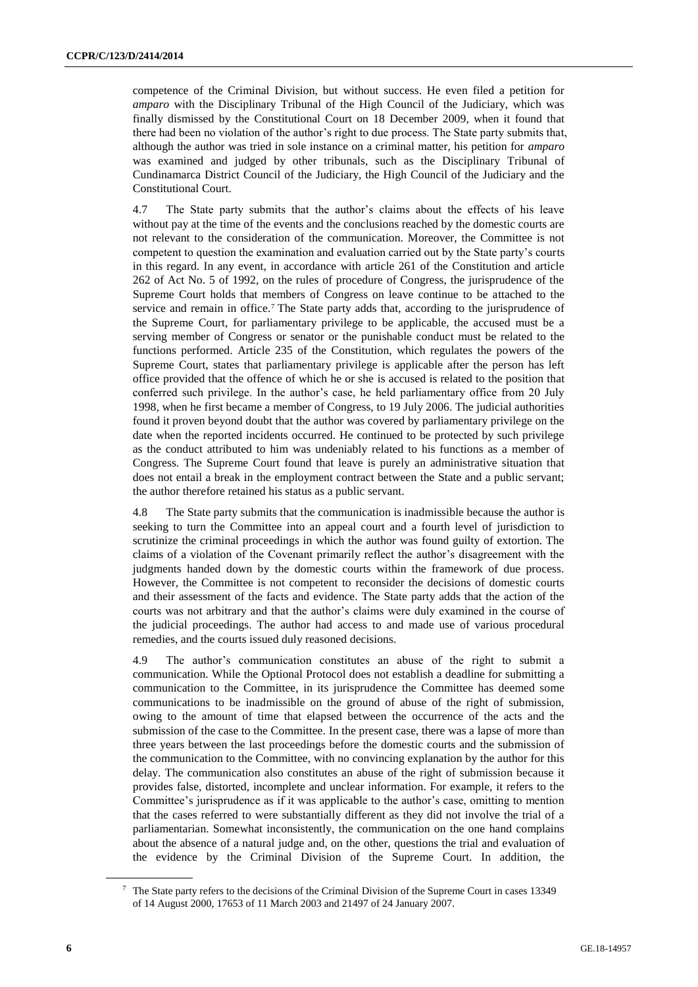competence of the Criminal Division, but without success. He even filed a petition for *amparo* with the Disciplinary Tribunal of the High Council of the Judiciary, which was finally dismissed by the Constitutional Court on 18 December 2009, when it found that there had been no violation of the author's right to due process. The State party submits that, although the author was tried in sole instance on a criminal matter, his petition for *amparo* was examined and judged by other tribunals, such as the Disciplinary Tribunal of Cundinamarca District Council of the Judiciary, the High Council of the Judiciary and the Constitutional Court.

4.7 The State party submits that the author's claims about the effects of his leave without pay at the time of the events and the conclusions reached by the domestic courts are not relevant to the consideration of the communication. Moreover, the Committee is not competent to question the examination and evaluation carried out by the State party's courts in this regard. In any event, in accordance with article 261 of the Constitution and article 262 of Act No. 5 of 1992, on the rules of procedure of Congress, the jurisprudence of the Supreme Court holds that members of Congress on leave continue to be attached to the service and remain in office.<sup>7</sup> The State party adds that, according to the jurisprudence of the Supreme Court, for parliamentary privilege to be applicable, the accused must be a serving member of Congress or senator or the punishable conduct must be related to the functions performed. Article 235 of the Constitution, which regulates the powers of the Supreme Court, states that parliamentary privilege is applicable after the person has left office provided that the offence of which he or she is accused is related to the position that conferred such privilege. In the author's case, he held parliamentary office from 20 July 1998, when he first became a member of Congress, to 19 July 2006. The judicial authorities found it proven beyond doubt that the author was covered by parliamentary privilege on the date when the reported incidents occurred. He continued to be protected by such privilege as the conduct attributed to him was undeniably related to his functions as a member of Congress. The Supreme Court found that leave is purely an administrative situation that does not entail a break in the employment contract between the State and a public servant; the author therefore retained his status as a public servant.

4.8 The State party submits that the communication is inadmissible because the author is seeking to turn the Committee into an appeal court and a fourth level of jurisdiction to scrutinize the criminal proceedings in which the author was found guilty of extortion. The claims of a violation of the Covenant primarily reflect the author's disagreement with the judgments handed down by the domestic courts within the framework of due process. However, the Committee is not competent to reconsider the decisions of domestic courts and their assessment of the facts and evidence. The State party adds that the action of the courts was not arbitrary and that the author's claims were duly examined in the course of the judicial proceedings. The author had access to and made use of various procedural remedies, and the courts issued duly reasoned decisions.

4.9 The author's communication constitutes an abuse of the right to submit a communication. While the Optional Protocol does not establish a deadline for submitting a communication to the Committee, in its jurisprudence the Committee has deemed some communications to be inadmissible on the ground of abuse of the right of submission, owing to the amount of time that elapsed between the occurrence of the acts and the submission of the case to the Committee. In the present case, there was a lapse of more than three years between the last proceedings before the domestic courts and the submission of the communication to the Committee, with no convincing explanation by the author for this delay. The communication also constitutes an abuse of the right of submission because it provides false, distorted, incomplete and unclear information. For example, it refers to the Committee's jurisprudence as if it was applicable to the author's case, omitting to mention that the cases referred to were substantially different as they did not involve the trial of a parliamentarian. Somewhat inconsistently, the communication on the one hand complains about the absence of a natural judge and, on the other, questions the trial and evaluation of the evidence by the Criminal Division of the Supreme Court. In addition, the

<sup>7</sup> The State party refers to the decisions of the Criminal Division of the Supreme Court in cases 13349 of 14 August 2000, 17653 of 11 March 2003 and 21497 of 24 January 2007.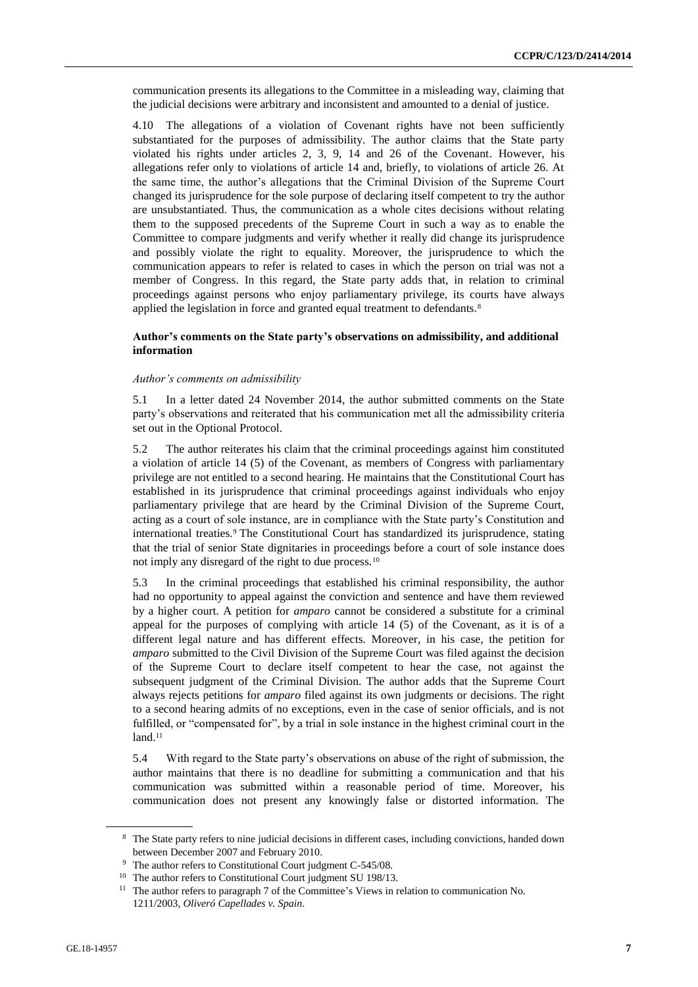communication presents its allegations to the Committee in a misleading way, claiming that the judicial decisions were arbitrary and inconsistent and amounted to a denial of justice.

4.10 The allegations of a violation of Covenant rights have not been sufficiently substantiated for the purposes of admissibility. The author claims that the State party violated his rights under articles 2, 3, 9, 14 and 26 of the Covenant. However, his allegations refer only to violations of article 14 and, briefly, to violations of article 26. At the same time, the author's allegations that the Criminal Division of the Supreme Court changed its jurisprudence for the sole purpose of declaring itself competent to try the author are unsubstantiated. Thus, the communication as a whole cites decisions without relating them to the supposed precedents of the Supreme Court in such a way as to enable the Committee to compare judgments and verify whether it really did change its jurisprudence and possibly violate the right to equality. Moreover, the jurisprudence to which the communication appears to refer is related to cases in which the person on trial was not a member of Congress. In this regard, the State party adds that, in relation to criminal proceedings against persons who enjoy parliamentary privilege, its courts have always applied the legislation in force and granted equal treatment to defendants.<sup>8</sup>

# **Author's comments on the State party's observations on admissibility, and additional information**

# *Author's comments on admissibility*

5.1 In a letter dated 24 November 2014, the author submitted comments on the State party's observations and reiterated that his communication met all the admissibility criteria set out in the Optional Protocol.

5.2 The author reiterates his claim that the criminal proceedings against him constituted a violation of article 14 (5) of the Covenant, as members of Congress with parliamentary privilege are not entitled to a second hearing. He maintains that the Constitutional Court has established in its jurisprudence that criminal proceedings against individuals who enjoy parliamentary privilege that are heard by the Criminal Division of the Supreme Court, acting as a court of sole instance, are in compliance with the State party's Constitution and international treaties.<sup>9</sup> The Constitutional Court has standardized its jurisprudence, stating that the trial of senior State dignitaries in proceedings before a court of sole instance does not imply any disregard of the right to due process.<sup>10</sup>

5.3 In the criminal proceedings that established his criminal responsibility, the author had no opportunity to appeal against the conviction and sentence and have them reviewed by a higher court. A petition for *amparo* cannot be considered a substitute for a criminal appeal for the purposes of complying with article 14 (5) of the Covenant, as it is of a different legal nature and has different effects. Moreover, in his case, the petition for *amparo* submitted to the Civil Division of the Supreme Court was filed against the decision of the Supreme Court to declare itself competent to hear the case, not against the subsequent judgment of the Criminal Division. The author adds that the Supreme Court always rejects petitions for *amparo* filed against its own judgments or decisions. The right to a second hearing admits of no exceptions, even in the case of senior officials, and is not fulfilled, or "compensated for", by a trial in sole instance in the highest criminal court in the  $land.<sup>11</sup>$ 

5.4 With regard to the State party's observations on abuse of the right of submission, the author maintains that there is no deadline for submitting a communication and that his communication was submitted within a reasonable period of time. Moreover, his communication does not present any knowingly false or distorted information. The

<sup>&</sup>lt;sup>8</sup> The State party refers to nine judicial decisions in different cases, including convictions, handed down between December 2007 and February 2010.

<sup>&</sup>lt;sup>9</sup> The author refers to Constitutional Court judgment C-545/08.

<sup>&</sup>lt;sup>10</sup> The author refers to Constitutional Court judgment SU 198/13.

<sup>&</sup>lt;sup>11</sup> The author refers to paragraph 7 of the Committee's Views in relation to communication No. 1211/2003, *Oliveró Capellades v. Spain*.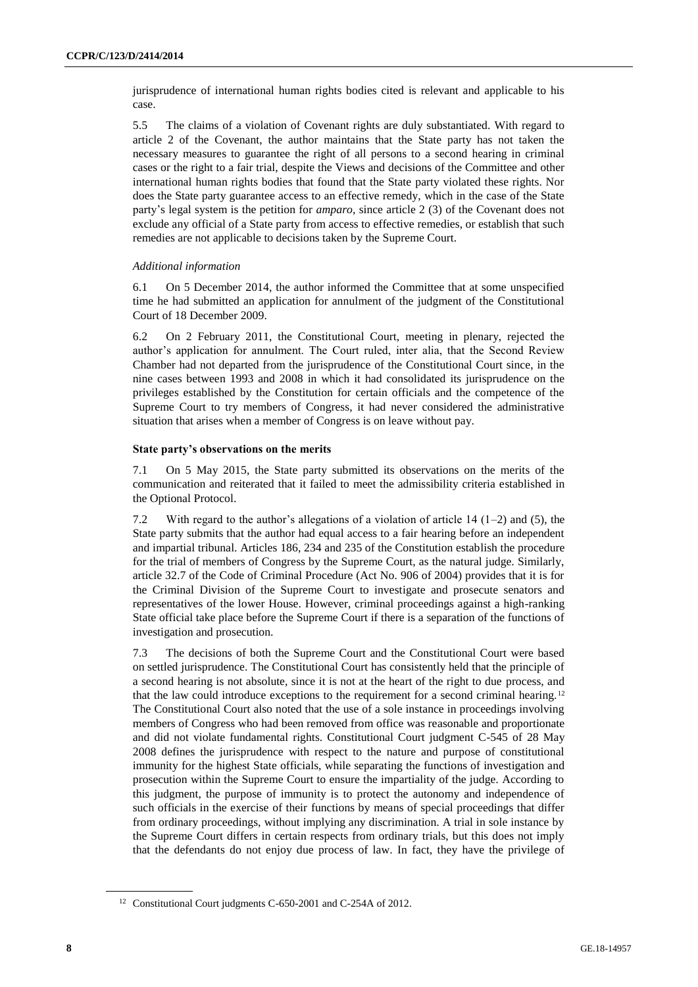jurisprudence of international human rights bodies cited is relevant and applicable to his case.

5.5 The claims of a violation of Covenant rights are duly substantiated. With regard to article 2 of the Covenant, the author maintains that the State party has not taken the necessary measures to guarantee the right of all persons to a second hearing in criminal cases or the right to a fair trial, despite the Views and decisions of the Committee and other international human rights bodies that found that the State party violated these rights. Nor does the State party guarantee access to an effective remedy, which in the case of the State party's legal system is the petition for *amparo*, since article 2 (3) of the Covenant does not exclude any official of a State party from access to effective remedies, or establish that such remedies are not applicable to decisions taken by the Supreme Court.

#### *Additional information*

6.1 On 5 December 2014, the author informed the Committee that at some unspecified time he had submitted an application for annulment of the judgment of the Constitutional Court of 18 December 2009.

6.2 On 2 February 2011, the Constitutional Court, meeting in plenary, rejected the author's application for annulment. The Court ruled, inter alia, that the Second Review Chamber had not departed from the jurisprudence of the Constitutional Court since, in the nine cases between 1993 and 2008 in which it had consolidated its jurisprudence on the privileges established by the Constitution for certain officials and the competence of the Supreme Court to try members of Congress, it had never considered the administrative situation that arises when a member of Congress is on leave without pay.

#### **State party's observations on the merits**

7.1 On 5 May 2015, the State party submitted its observations on the merits of the communication and reiterated that it failed to meet the admissibility criteria established in the Optional Protocol.

7.2 With regard to the author's allegations of a violation of article 14 (1–2) and (5), the State party submits that the author had equal access to a fair hearing before an independent and impartial tribunal. Articles 186, 234 and 235 of the Constitution establish the procedure for the trial of members of Congress by the Supreme Court, as the natural judge. Similarly, article 32.7 of the Code of Criminal Procedure (Act No. 906 of 2004) provides that it is for the Criminal Division of the Supreme Court to investigate and prosecute senators and representatives of the lower House. However, criminal proceedings against a high-ranking State official take place before the Supreme Court if there is a separation of the functions of investigation and prosecution.

7.3 The decisions of both the Supreme Court and the Constitutional Court were based on settled jurisprudence. The Constitutional Court has consistently held that the principle of a second hearing is not absolute, since it is not at the heart of the right to due process, and that the law could introduce exceptions to the requirement for a second criminal hearing. <sup>12</sup> The Constitutional Court also noted that the use of a sole instance in proceedings involving members of Congress who had been removed from office was reasonable and proportionate and did not violate fundamental rights. Constitutional Court judgment C-545 of 28 May 2008 defines the jurisprudence with respect to the nature and purpose of constitutional immunity for the highest State officials, while separating the functions of investigation and prosecution within the Supreme Court to ensure the impartiality of the judge. According to this judgment, the purpose of immunity is to protect the autonomy and independence of such officials in the exercise of their functions by means of special proceedings that differ from ordinary proceedings, without implying any discrimination. A trial in sole instance by the Supreme Court differs in certain respects from ordinary trials, but this does not imply that the defendants do not enjoy due process of law. In fact, they have the privilege of

<sup>12</sup> Constitutional Court judgments C-650-2001 and C-254A of 2012.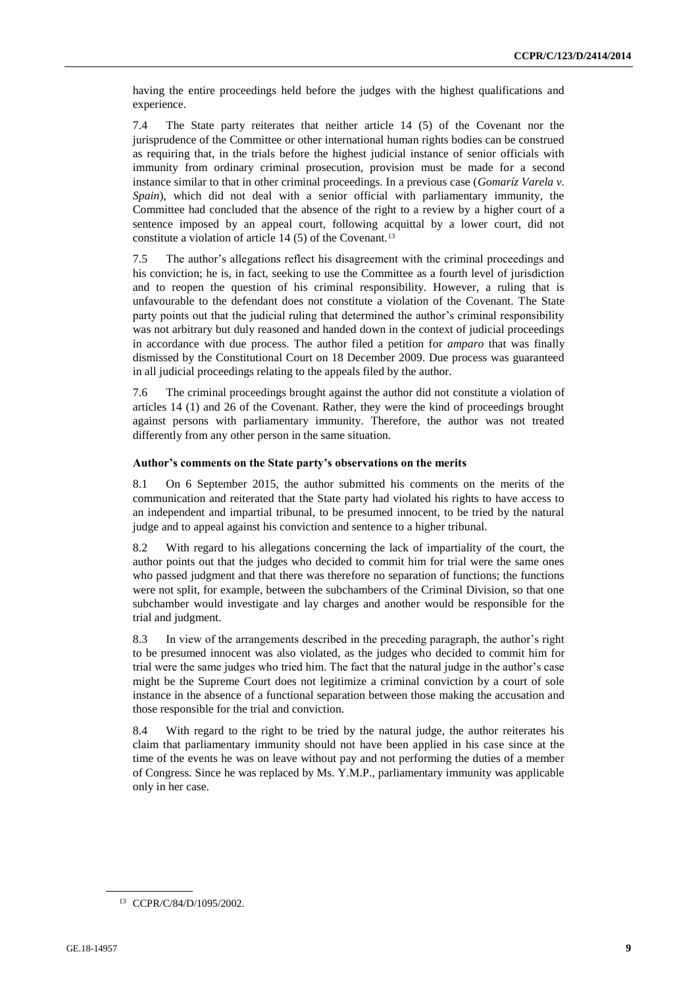having the entire proceedings held before the judges with the highest qualifications and experience.

7.4 The State party reiterates that neither article 14 (5) of the Covenant nor the jurisprudence of the Committee or other international human rights bodies can be construed as requiring that, in the trials before the highest judicial instance of senior officials with immunity from ordinary criminal prosecution, provision must be made for a second instance similar to that in other criminal proceedings. In a previous case (*Gomaríz Varela v. Spain*), which did not deal with a senior official with parliamentary immunity, the Committee had concluded that the absence of the right to a review by a higher court of a sentence imposed by an appeal court, following acquittal by a lower court, did not constitute a violation of article  $14$  (5) of the Covenant.<sup>13</sup>

7.5 The author's allegations reflect his disagreement with the criminal proceedings and his conviction; he is, in fact, seeking to use the Committee as a fourth level of jurisdiction and to reopen the question of his criminal responsibility. However, a ruling that is unfavourable to the defendant does not constitute a violation of the Covenant. The State party points out that the judicial ruling that determined the author's criminal responsibility was not arbitrary but duly reasoned and handed down in the context of judicial proceedings in accordance with due process. The author filed a petition for *amparo* that was finally dismissed by the Constitutional Court on 18 December 2009. Due process was guaranteed in all judicial proceedings relating to the appeals filed by the author.

7.6 The criminal proceedings brought against the author did not constitute a violation of articles 14 (1) and 26 of the Covenant. Rather, they were the kind of proceedings brought against persons with parliamentary immunity. Therefore, the author was not treated differently from any other person in the same situation.

#### **Author's comments on the State party's observations on the merits**

8.1 On 6 September 2015, the author submitted his comments on the merits of the communication and reiterated that the State party had violated his rights to have access to an independent and impartial tribunal, to be presumed innocent, to be tried by the natural judge and to appeal against his conviction and sentence to a higher tribunal.

8.2 With regard to his allegations concerning the lack of impartiality of the court, the author points out that the judges who decided to commit him for trial were the same ones who passed judgment and that there was therefore no separation of functions; the functions were not split, for example, between the subchambers of the Criminal Division, so that one subchamber would investigate and lay charges and another would be responsible for the trial and judgment.

8.3 In view of the arrangements described in the preceding paragraph, the author's right to be presumed innocent was also violated, as the judges who decided to commit him for trial were the same judges who tried him. The fact that the natural judge in the author's case might be the Supreme Court does not legitimize a criminal conviction by a court of sole instance in the absence of a functional separation between those making the accusation and those responsible for the trial and conviction.

8.4 With regard to the right to be tried by the natural judge, the author reiterates his claim that parliamentary immunity should not have been applied in his case since at the time of the events he was on leave without pay and not performing the duties of a member of Congress. Since he was replaced by Ms. Y.M.P., parliamentary immunity was applicable only in her case.

<sup>13</sup> CCPR/C/84/D/1095/2002.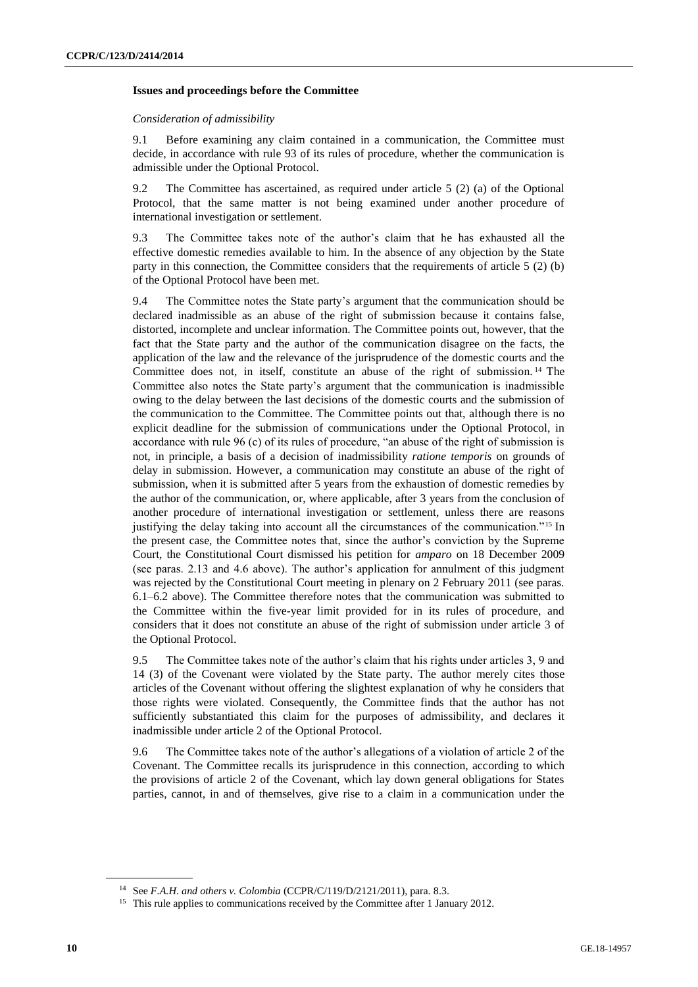### **Issues and proceedings before the Committee**

### *Consideration of admissibility*

9.1 Before examining any claim contained in a communication, the Committee must decide, in accordance with rule 93 of its rules of procedure, whether the communication is admissible under the Optional Protocol.

9.2 The Committee has ascertained, as required under article 5 (2) (a) of the Optional Protocol, that the same matter is not being examined under another procedure of international investigation or settlement.

9.3 The Committee takes note of the author's claim that he has exhausted all the effective domestic remedies available to him. In the absence of any objection by the State party in this connection, the Committee considers that the requirements of article 5 (2) (b) of the Optional Protocol have been met.

9.4 The Committee notes the State party's argument that the communication should be declared inadmissible as an abuse of the right of submission because it contains false, distorted, incomplete and unclear information. The Committee points out, however, that the fact that the State party and the author of the communication disagree on the facts, the application of the law and the relevance of the jurisprudence of the domestic courts and the Committee does not, in itself, constitute an abuse of the right of submission. <sup>14</sup> The Committee also notes the State party's argument that the communication is inadmissible owing to the delay between the last decisions of the domestic courts and the submission of the communication to the Committee. The Committee points out that, although there is no explicit deadline for the submission of communications under the Optional Protocol, in accordance with rule 96 (c) of its rules of procedure, "an abuse of the right of submission is not, in principle, a basis of a decision of inadmissibility *ratione temporis* on grounds of delay in submission. However, a communication may constitute an abuse of the right of submission, when it is submitted after 5 years from the exhaustion of domestic remedies by the author of the communication, or, where applicable, after 3 years from the conclusion of another procedure of international investigation or settlement, unless there are reasons justifying the delay taking into account all the circumstances of the communication."<sup>15</sup> In the present case, the Committee notes that, since the author's conviction by the Supreme Court, the Constitutional Court dismissed his petition for *amparo* on 18 December 2009 (see paras. 2.13 and 4.6 above). The author's application for annulment of this judgment was rejected by the Constitutional Court meeting in plenary on 2 February 2011 (see paras. 6.1–6.2 above). The Committee therefore notes that the communication was submitted to the Committee within the five-year limit provided for in its rules of procedure, and considers that it does not constitute an abuse of the right of submission under article 3 of the Optional Protocol.

9.5 The Committee takes note of the author's claim that his rights under articles 3, 9 and 14 (3) of the Covenant were violated by the State party. The author merely cites those articles of the Covenant without offering the slightest explanation of why he considers that those rights were violated. Consequently, the Committee finds that the author has not sufficiently substantiated this claim for the purposes of admissibility, and declares it inadmissible under article 2 of the Optional Protocol.

9.6 The Committee takes note of the author's allegations of a violation of article 2 of the Covenant. The Committee recalls its jurisprudence in this connection, according to which the provisions of article 2 of the Covenant, which lay down general obligations for States parties, cannot, in and of themselves, give rise to a claim in a communication under the

<sup>14</sup> See *F.A.H. and others v. Colombia* (CCPR/C/119/D/2121/2011), para. 8.3.

<sup>&</sup>lt;sup>15</sup> This rule applies to communications received by the Committee after 1 January 2012.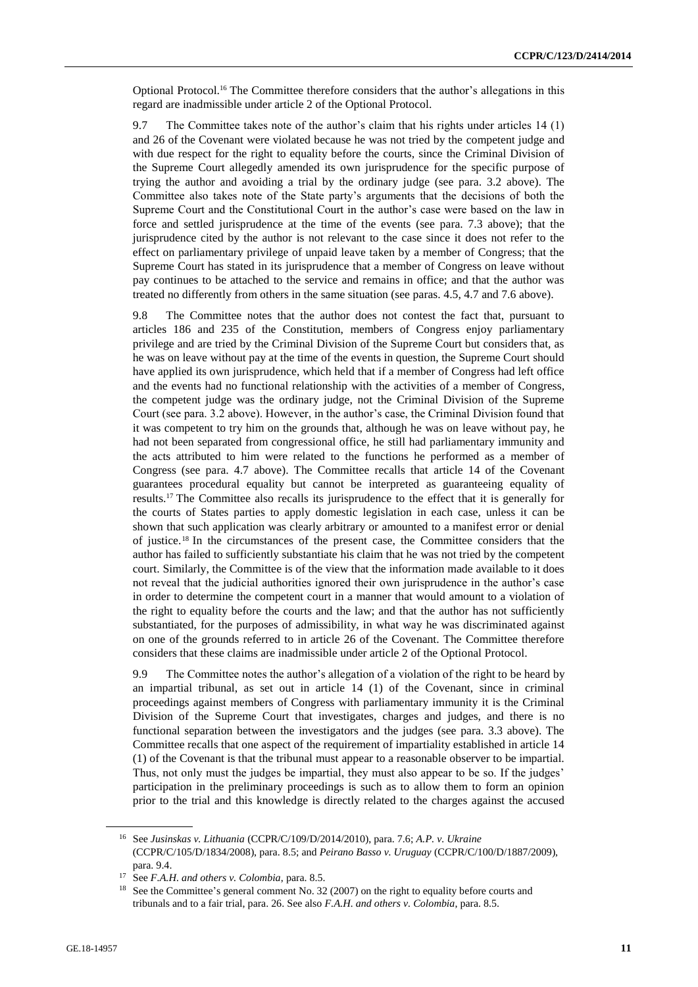Optional Protocol.<sup>16</sup> The Committee therefore considers that the author's allegations in this regard are inadmissible under article 2 of the Optional Protocol.

9.7 The Committee takes note of the author's claim that his rights under articles 14 (1) and 26 of the Covenant were violated because he was not tried by the competent judge and with due respect for the right to equality before the courts, since the Criminal Division of the Supreme Court allegedly amended its own jurisprudence for the specific purpose of trying the author and avoiding a trial by the ordinary judge (see para. 3.2 above). The Committee also takes note of the State party's arguments that the decisions of both the Supreme Court and the Constitutional Court in the author's case were based on the law in force and settled jurisprudence at the time of the events (see para. 7.3 above); that the jurisprudence cited by the author is not relevant to the case since it does not refer to the effect on parliamentary privilege of unpaid leave taken by a member of Congress; that the Supreme Court has stated in its jurisprudence that a member of Congress on leave without pay continues to be attached to the service and remains in office; and that the author was treated no differently from others in the same situation (see paras. 4.5, 4.7 and 7.6 above).

9.8 The Committee notes that the author does not contest the fact that, pursuant to articles 186 and 235 of the Constitution, members of Congress enjoy parliamentary privilege and are tried by the Criminal Division of the Supreme Court but considers that, as he was on leave without pay at the time of the events in question, the Supreme Court should have applied its own jurisprudence, which held that if a member of Congress had left office and the events had no functional relationship with the activities of a member of Congress, the competent judge was the ordinary judge, not the Criminal Division of the Supreme Court (see para. 3.2 above). However, in the author's case, the Criminal Division found that it was competent to try him on the grounds that, although he was on leave without pay, he had not been separated from congressional office, he still had parliamentary immunity and the acts attributed to him were related to the functions he performed as a member of Congress (see para. 4.7 above). The Committee recalls that article 14 of the Covenant guarantees procedural equality but cannot be interpreted as guaranteeing equality of results.<sup>17</sup> The Committee also recalls its jurisprudence to the effect that it is generally for the courts of States parties to apply domestic legislation in each case, unless it can be shown that such application was clearly arbitrary or amounted to a manifest error or denial of justice.<sup>18</sup> In the circumstances of the present case, the Committee considers that the author has failed to sufficiently substantiate his claim that he was not tried by the competent court. Similarly, the Committee is of the view that the information made available to it does not reveal that the judicial authorities ignored their own jurisprudence in the author's case in order to determine the competent court in a manner that would amount to a violation of the right to equality before the courts and the law; and that the author has not sufficiently substantiated, for the purposes of admissibility, in what way he was discriminated against on one of the grounds referred to in article 26 of the Covenant. The Committee therefore considers that these claims are inadmissible under article 2 of the Optional Protocol.

9.9 The Committee notes the author's allegation of a violation of the right to be heard by an impartial tribunal, as set out in article 14 (1) of the Covenant, since in criminal proceedings against members of Congress with parliamentary immunity it is the Criminal Division of the Supreme Court that investigates, charges and judges, and there is no functional separation between the investigators and the judges (see para. 3.3 above). The Committee recalls that one aspect of the requirement of impartiality established in article 14 (1) of the Covenant is that the tribunal must appear to a reasonable observer to be impartial. Thus, not only must the judges be impartial, they must also appear to be so. If the judges' participation in the preliminary proceedings is such as to allow them to form an opinion prior to the trial and this knowledge is directly related to the charges against the accused

<sup>16</sup> See *Jusinskas v. Lithuania* (CCPR/C/109/D/2014/2010), para. 7.6; *A.P. v. Ukraine* (CCPR/C/105/D/1834/2008), para. 8.5; and *Peirano Basso v. Uruguay* (CCPR/C/100/D/1887/2009), para. 9.4.

<sup>17</sup> See *F.A.H. and others v. Colombia*, para. 8.5.

<sup>&</sup>lt;sup>18</sup> See the Committee's general comment No. 32 (2007) on the right to equality before courts and tribunals and to a fair trial, para. 26. See also *F.A.H. and others v. Colombia*, para. 8.5.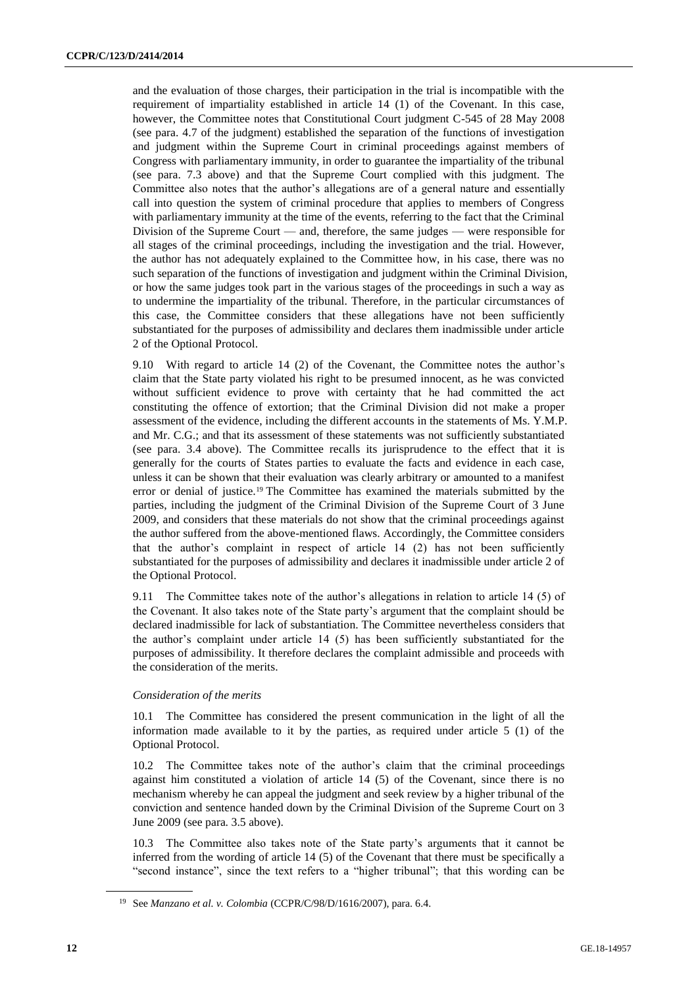and the evaluation of those charges, their participation in the trial is incompatible with the requirement of impartiality established in article 14 (1) of the Covenant. In this case, however, the Committee notes that Constitutional Court judgment C-545 of 28 May 2008 (see para. 4.7 of the judgment) established the separation of the functions of investigation and judgment within the Supreme Court in criminal proceedings against members of Congress with parliamentary immunity, in order to guarantee the impartiality of the tribunal (see para. 7.3 above) and that the Supreme Court complied with this judgment. The Committee also notes that the author's allegations are of a general nature and essentially call into question the system of criminal procedure that applies to members of Congress with parliamentary immunity at the time of the events, referring to the fact that the Criminal Division of the Supreme Court — and, therefore, the same judges — were responsible for all stages of the criminal proceedings, including the investigation and the trial. However, the author has not adequately explained to the Committee how, in his case, there was no such separation of the functions of investigation and judgment within the Criminal Division, or how the same judges took part in the various stages of the proceedings in such a way as to undermine the impartiality of the tribunal. Therefore, in the particular circumstances of this case, the Committee considers that these allegations have not been sufficiently substantiated for the purposes of admissibility and declares them inadmissible under article 2 of the Optional Protocol.

9.10 With regard to article 14 (2) of the Covenant, the Committee notes the author's claim that the State party violated his right to be presumed innocent, as he was convicted without sufficient evidence to prove with certainty that he had committed the act constituting the offence of extortion; that the Criminal Division did not make a proper assessment of the evidence, including the different accounts in the statements of Ms. Y.M.P. and Mr. C.G.; and that its assessment of these statements was not sufficiently substantiated (see para. 3.4 above). The Committee recalls its jurisprudence to the effect that it is generally for the courts of States parties to evaluate the facts and evidence in each case, unless it can be shown that their evaluation was clearly arbitrary or amounted to a manifest error or denial of justice.<sup>19</sup> The Committee has examined the materials submitted by the parties, including the judgment of the Criminal Division of the Supreme Court of 3 June 2009, and considers that these materials do not show that the criminal proceedings against the author suffered from the above-mentioned flaws. Accordingly, the Committee considers that the author's complaint in respect of article 14 (2) has not been sufficiently substantiated for the purposes of admissibility and declares it inadmissible under article 2 of the Optional Protocol.

9.11 The Committee takes note of the author's allegations in relation to article 14 (5) of the Covenant. It also takes note of the State party's argument that the complaint should be declared inadmissible for lack of substantiation. The Committee nevertheless considers that the author's complaint under article 14 (5) has been sufficiently substantiated for the purposes of admissibility. It therefore declares the complaint admissible and proceeds with the consideration of the merits.

#### *Consideration of the merits*

10.1 The Committee has considered the present communication in the light of all the information made available to it by the parties, as required under article 5 (1) of the Optional Protocol.

10.2 The Committee takes note of the author's claim that the criminal proceedings against him constituted a violation of article 14 (5) of the Covenant, since there is no mechanism whereby he can appeal the judgment and seek review by a higher tribunal of the conviction and sentence handed down by the Criminal Division of the Supreme Court on 3 June 2009 (see para. 3.5 above).

10.3 The Committee also takes note of the State party's arguments that it cannot be inferred from the wording of article 14 (5) of the Covenant that there must be specifically a "second instance", since the text refers to a "higher tribunal"; that this wording can be

<sup>19</sup> See *Manzano et al. v. Colombia* (CCPR/C/98/D/1616/2007), para. 6.4.